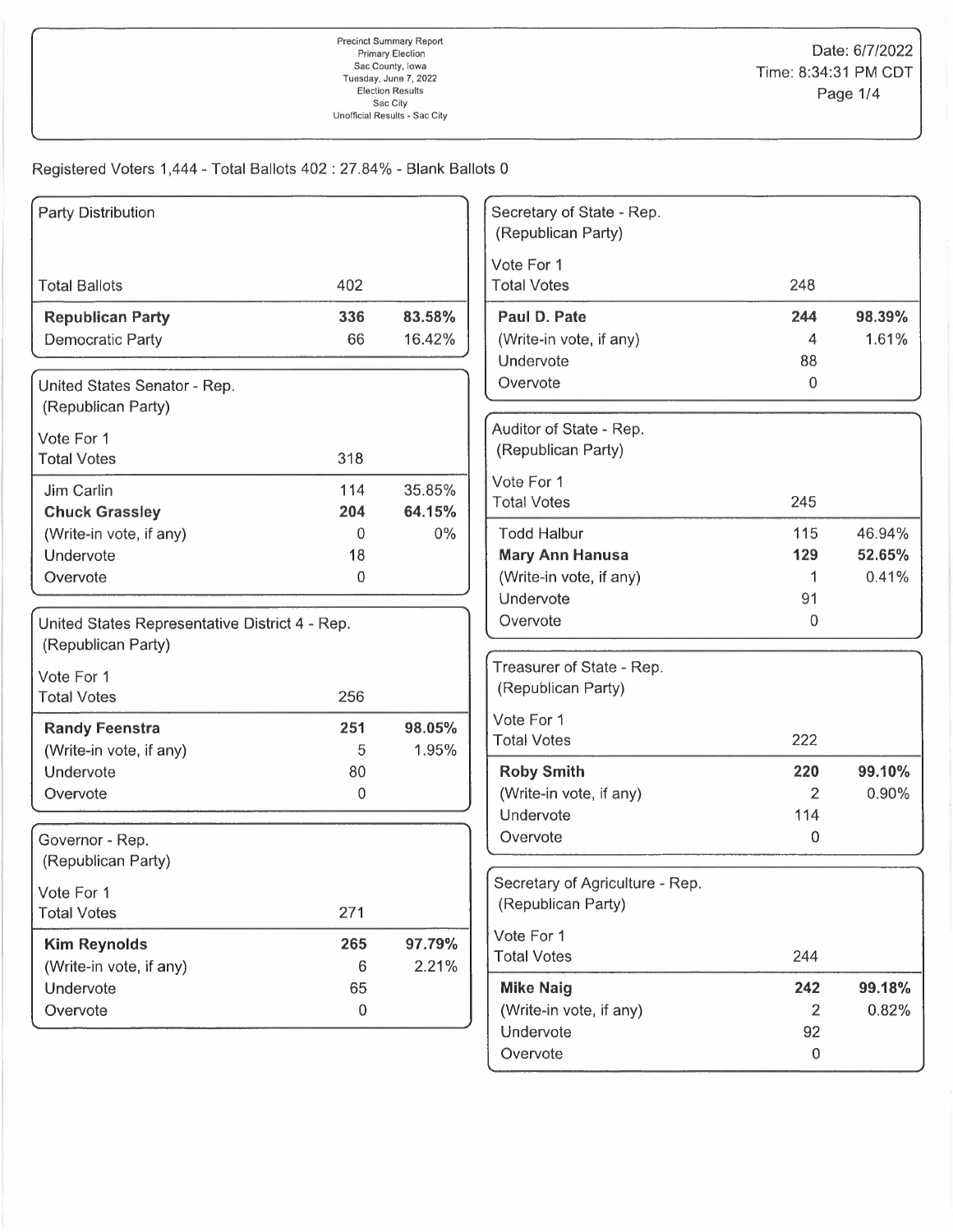Registered Voters 1,444 - Total Ballots 402: 27.84% - Blank Ballots 0

| Party Distribution                             |           |        | Secretary of State - Rep.<br>(Republican Party) |                  |        |
|------------------------------------------------|-----------|--------|-------------------------------------------------|------------------|--------|
|                                                |           |        | Vote For 1                                      |                  |        |
| <b>Total Ballots</b>                           | 402       |        | <b>Total Votes</b>                              | 248              |        |
| <b>Republican Party</b>                        | 336       | 83.58% | Paul D. Pate                                    | 244              | 98.39% |
| <b>Democratic Party</b>                        | 66        | 16.42% | (Write-in vote, if any)                         | 4                | 1.61%  |
|                                                |           |        | Undervote                                       | 88               |        |
| United States Senator - Rep.                   |           |        | Overvote                                        | 0                |        |
| (Republican Party)                             |           |        |                                                 |                  |        |
|                                                |           |        | Auditor of State - Rep.                         |                  |        |
| Vote For 1                                     |           |        | (Republican Party)                              |                  |        |
| <b>Total Votes</b>                             | 318       |        |                                                 |                  |        |
| Jim Carlin                                     | 114       | 35.85% | Vote For 1                                      |                  |        |
| <b>Chuck Grassley</b>                          | 204       | 64.15% | <b>Total Votes</b>                              | 245              |        |
| (Write-in vote, if any)                        | 0         | $0\%$  | <b>Todd Halbur</b>                              | 115              | 46.94% |
| Undervote                                      | 18        |        | <b>Mary Ann Hanusa</b>                          | 129              | 52.65% |
| Overvote                                       | 0         |        | (Write-in vote, if any)                         | 1                | 0.41%  |
|                                                |           |        | Undervote                                       | 91               |        |
| United States Representative District 4 - Rep. |           |        | Overvote                                        | 0                |        |
| (Republican Party)                             |           |        |                                                 |                  |        |
| Vote For 1                                     |           |        | Treasurer of State - Rep.                       |                  |        |
| <b>Total Votes</b>                             | 256       |        | (Republican Party)                              |                  |        |
|                                                |           |        | Vote For 1                                      |                  |        |
| <b>Randy Feenstra</b>                          | 251       | 98.05% | <b>Total Votes</b>                              | 222              |        |
| (Write-in vote, if any)                        | 5         | 1.95%  |                                                 |                  |        |
| Undervote                                      | 80        |        | <b>Roby Smith</b>                               | 220              | 99.10% |
| Overvote                                       | 0         |        | (Write-in vote, if any)                         | 2                | 0.90%  |
|                                                |           |        | Undervote                                       | 114              |        |
| Governor - Rep.                                |           |        | Overvote                                        | 0                |        |
| (Republican Party)                             |           |        |                                                 |                  |        |
| Vote For 1                                     |           |        | Secretary of Agriculture - Rep.                 |                  |        |
| <b>Total Votes</b>                             | 271       |        | (Republican Party)                              |                  |        |
| <b>Kim Reynolds</b>                            | 265       | 97.79% | Vote For 1                                      |                  |        |
| (Write-in vote, if any)                        | 6         | 2.21%  | <b>Total Votes</b>                              | 244              |        |
| Undervote                                      | 65        |        | <b>Mike Naig</b>                                | 242              | 99.18% |
| Overvote                                       | $\pmb{0}$ |        | (Write-in vote, if any)                         | 2                | 0.82%  |
|                                                |           |        | Undervote                                       | 92               |        |
|                                                |           |        | Overvote                                        | $\boldsymbol{0}$ |        |
|                                                |           |        |                                                 |                  |        |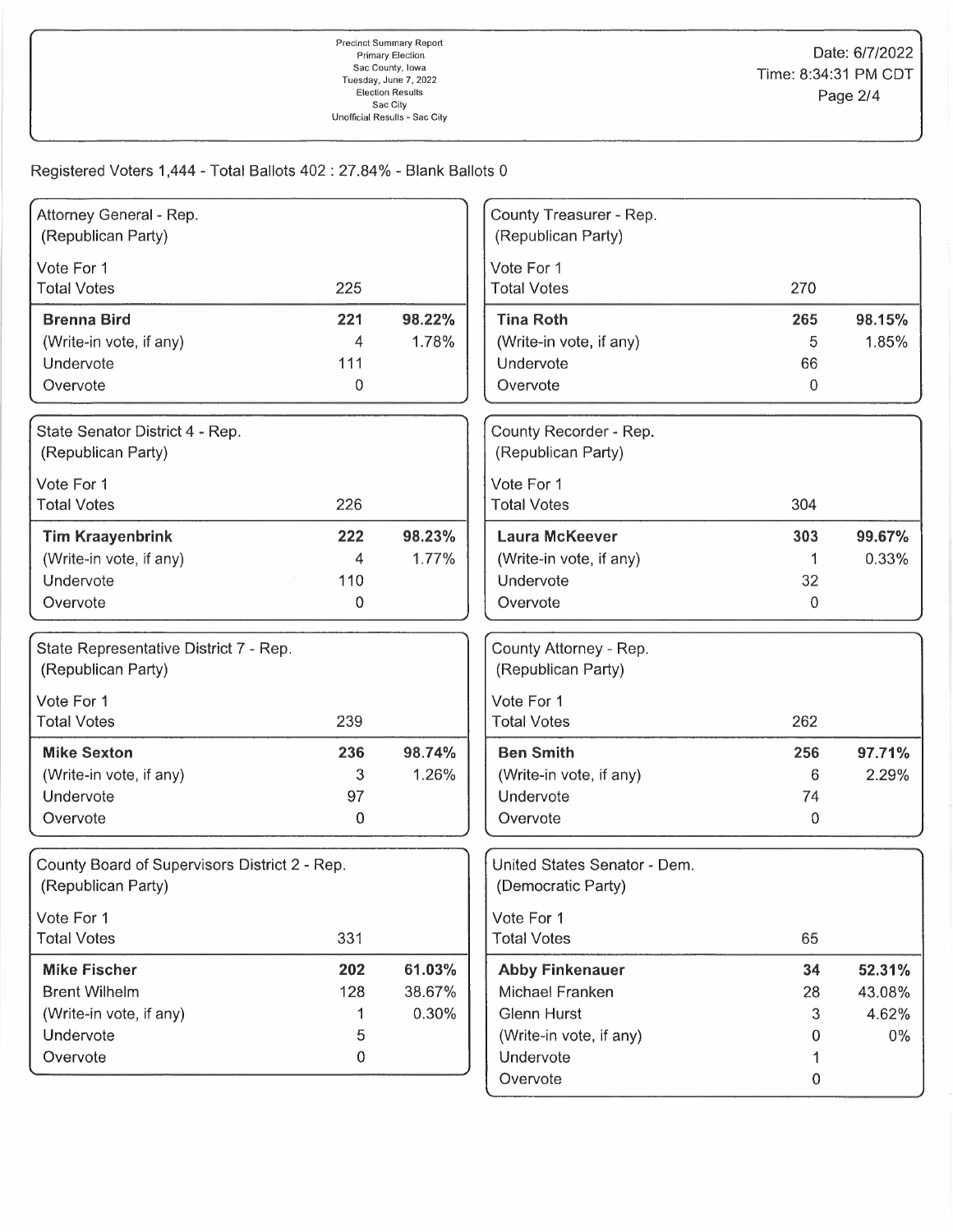Registered Voters 1,444 - Total Ballots 402: 27.84% - Blank Ballots 0

| Attorney General - Rep.                       |                  |        | County Treasurer - Rep.      |                |        |
|-----------------------------------------------|------------------|--------|------------------------------|----------------|--------|
| (Republican Party)                            |                  |        | (Republican Party)           |                |        |
| Vote For 1                                    |                  |        | Vote For 1                   |                |        |
| <b>Total Votes</b>                            | 225              |        | <b>Total Votes</b>           | 270            |        |
| <b>Brenna Bird</b>                            | 221              | 98.22% | <b>Tina Roth</b>             | 265            | 98.15% |
| (Write-in vote, if any)                       | 4                | 1.78%  | (Write-in vote, if any)      | 5              | 1.85%  |
| Undervote                                     | 111              |        | Undervote                    | 66             |        |
| Overvote                                      | $\Omega$         |        | Overvote                     | 0              |        |
| State Senator District 4 - Rep.               |                  |        | County Recorder - Rep.       |                |        |
| (Republican Party)                            |                  |        | (Republican Party)           |                |        |
| Vote For 1                                    |                  |        | Vote For 1                   |                |        |
| <b>Total Votes</b>                            | 226              |        | <b>Total Votes</b>           | 304            |        |
| <b>Tim Kraayenbrink</b>                       | 222              | 98.23% | <b>Laura McKeever</b>        | 303            | 99.67% |
| (Write-in vote, if any)                       | 4                | 1.77%  | (Write-in vote, if any)      | 1              | 0.33%  |
| Undervote                                     | 110              |        | Undervote                    | 32             |        |
| Overvote                                      | 0                |        | Overvote                     | $\mathbf 0$    |        |
| State Representative District 7 - Rep.        |                  |        | County Attorney - Rep.       |                |        |
| (Republican Party)                            |                  |        | (Republican Party)           |                |        |
| Vote For 1                                    |                  |        | Vote For 1                   |                |        |
| <b>Total Votes</b>                            | 239              |        | <b>Total Votes</b>           | 262            |        |
| <b>Mike Sexton</b>                            | 236              | 98.74% | <b>Ben Smith</b>             | 256            | 97.71% |
| (Write-in vote, if any)                       | 3                | 1.26%  | (Write-in vote, if any)      | 6              | 2.29%  |
| Undervote                                     | 97               |        | Undervote                    | 74             |        |
| Overvote                                      | 0                |        | Overvote                     | 0              |        |
| County Board of Supervisors District 2 - Rep. |                  |        | United States Senator - Dem. |                |        |
| (Republican Party)                            |                  |        | (Democratic Party)           |                |        |
| Vote For 1                                    |                  |        | Vote For 1                   |                |        |
| <b>Total Votes</b>                            | 331              |        | <b>Total Votes</b>           | 65             |        |
| <b>Mike Fischer</b>                           | 202              | 61.03% | <b>Abby Finkenauer</b>       | 34             | 52.31% |
| <b>Brent Wilhelm</b>                          | 128              | 38.67% | Michael Franken              | 28             | 43.08% |
| (Write-in vote, if any)                       |                  | 0.30%  | <b>Glenn Hurst</b>           | 3              | 4.62%  |
| Undervote                                     | 5                |        | (Write-in vote, if any)      | 0              | 0%     |
| Overvote                                      | $\boldsymbol{0}$ |        | Undervote                    | 1              |        |
|                                               |                  |        | Overvote                     | $\overline{0}$ |        |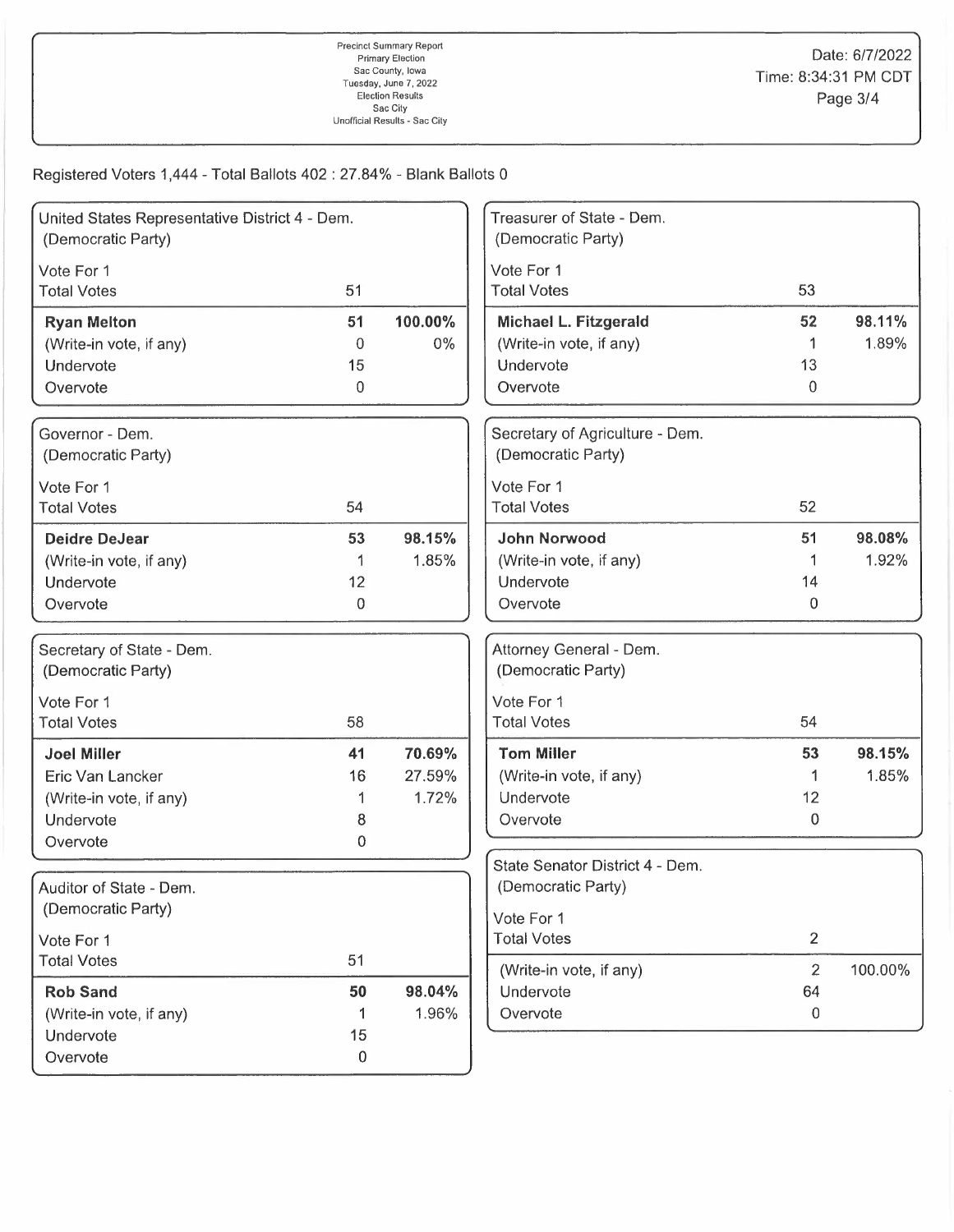Registered Voters 1,444 - Total Ballots 402 : 27.84% - Blank Ballots 0

| United States Representative District 4 - Dem.<br>(Democratic Party) |         |         | Treasurer of State - Dem.<br>(Democratic Party) |                |         |
|----------------------------------------------------------------------|---------|---------|-------------------------------------------------|----------------|---------|
| Vote For 1                                                           |         |         | Vote For 1                                      |                |         |
| <b>Total Votes</b>                                                   | 51      |         | <b>Total Votes</b>                              | 53             |         |
|                                                                      |         |         |                                                 |                |         |
| <b>Ryan Melton</b>                                                   | 51      | 100.00% | Michael L. Fitzgerald                           | 52             | 98.11%  |
| (Write-in vote, if any)                                              | 0       | $0\%$   | (Write-in vote, if any)                         | 1              | 1.89%   |
| Undervote                                                            | 15      |         | Undervote                                       | 13             |         |
| Overvote                                                             | 0       |         | Overvote                                        | 0              |         |
| Governor - Dem.                                                      |         |         | Secretary of Agriculture - Dem.                 |                |         |
| (Democratic Party)                                                   |         |         | (Democratic Party)                              |                |         |
| Vote For 1                                                           |         |         | Vote For 1                                      |                |         |
| <b>Total Votes</b>                                                   | 54      |         | <b>Total Votes</b>                              | 52             |         |
| <b>Deidre DeJear</b>                                                 | 53      | 98.15%  | <b>John Norwood</b>                             | 51             | 98.08%  |
| (Write-in vote, if any)                                              | 1       | 1.85%   | (Write-in vote, if any)                         |                | 1.92%   |
| Undervote                                                            | 12      |         | Undervote                                       | 14             |         |
| Overvote                                                             | 0       |         | Overvote                                        | 0              |         |
| Secretary of State - Dem.                                            |         |         | Attorney General - Dem.                         |                |         |
| (Democratic Party)                                                   |         |         | (Democratic Party)                              |                |         |
| Vote For 1                                                           |         |         | Vote For 1                                      |                |         |
| <b>Total Votes</b>                                                   | 58      |         | <b>Total Votes</b>                              | 54             |         |
| <b>Joel Miller</b>                                                   | 41      | 70.69%  | <b>Tom Miller</b>                               | 53             | 98.15%  |
| Eric Van Lancker                                                     | 16      | 27.59%  | (Write-in vote, if any)                         |                | 1.85%   |
| (Write-in vote, if any)                                              |         | 1.72%   | Undervote                                       | 12             |         |
| Undervote                                                            | 8       |         | Overvote                                        | 0              |         |
| Overvote                                                             | 0       |         |                                                 |                |         |
|                                                                      |         |         | State Senator District 4 - Dem.                 |                |         |
| Auditor of State - Dem.                                              |         |         | (Democratic Party)                              |                |         |
| (Democratic Party)                                                   |         |         | Vote For 1                                      |                |         |
| Vote For 1                                                           |         |         | <b>Total Votes</b>                              | $\overline{2}$ |         |
| <b>Total Votes</b>                                                   | 51      |         | (Write-in vote, if any)                         | $\overline{2}$ | 100.00% |
| <b>Rob Sand</b>                                                      | 50      | 98.04%  | Undervote                                       | 64             |         |
| (Write-in vote, if any)                                              | 1.      | 1.96%   | Overvote                                        | 0              |         |
| Undervote                                                            | 15      |         |                                                 |                |         |
| Overvote                                                             | $\,0\,$ |         |                                                 |                |         |